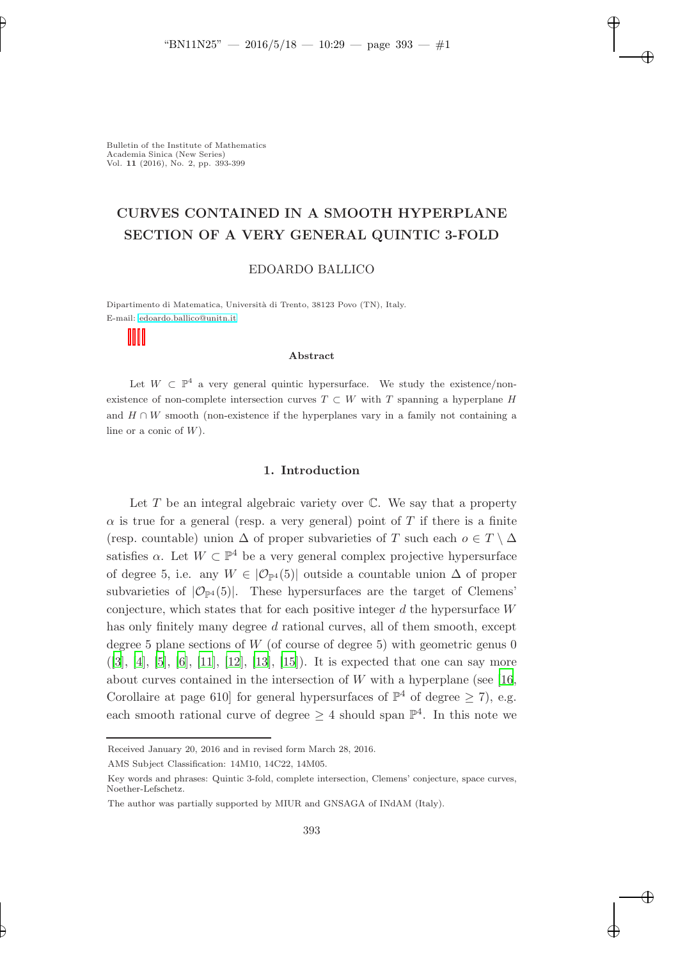# CURVES CONTAINED IN A SMOOTH HYPERPLANE SECTION OF A VERY GENERAL QUINTIC 3-FOLD

### EDOARDO BALLICO

Dipartimento di Matematica, Universit`a di Trento, 38123 Povo (TN), Italy. E-mail: [edoardo.ballico@unitn.it](mailto:edoardo.ballico@unitn.it)

#### Abstract

Let  $W \subset \mathbb{P}^4$  a very general quintic hypersurface. We study the existence/nonexistence of non-complete intersection curves  $T \subset W$  with T spanning a hyperplane H and  $H \cap W$  smooth (non-existence if the hyperplanes vary in a family not containing a line or a conic of  $W$ ).

### 1. Introduction

Let  $T$  be an integral algebraic variety over  $\mathbb C$ . We say that a property  $\alpha$  is true for a general (resp. a very general) point of T if there is a finite (resp. countable) union  $\Delta$  of proper subvarieties of T such each  $o \in T \setminus \Delta$ satisfies  $\alpha$ . Let  $W \subset \mathbb{P}^4$  be a very general complex projective hypersurface of degree 5, i.e. any  $W \in |\mathcal{O}_{\mathbb{P}^4}(5)|$  outside a countable union  $\Delta$  of proper subvarieties of  $|\mathcal{O}_{\mathbb{P}^4}(5)|$ . These hypersurfaces are the target of Clemens' conjecture, which states that for each positive integer  $d$  the hypersurface  $W$ has only finitely many degree d rational curves, all of them smooth, except degree 5 plane sections of  $W$  (of course of degree 5) with geometric genus 0  $([3], [4], [5], [6], [11], [12], [13], [15])$  $([3], [4], [5], [6], [11], [12], [13], [15])$  $([3], [4], [5], [6], [11], [12], [13], [15])$  $([3], [4], [5], [6], [11], [12], [13], [15])$  $([3], [4], [5], [6], [11], [12], [13], [15])$  $([3], [4], [5], [6], [11], [12], [13], [15])$  $([3], [4], [5], [6], [11], [12], [13], [15])$  $([3], [4], [5], [6], [11], [12], [13], [15])$  $([3], [4], [5], [6], [11], [12], [13], [15])$  $([3], [4], [5], [6], [11], [12], [13], [15])$  $([3], [4], [5], [6], [11], [12], [13], [15])$  $([3], [4], [5], [6], [11], [12], [13], [15])$  $([3], [4], [5], [6], [11], [12], [13], [15])$  $([3], [4], [5], [6], [11], [12], [13], [15])$  $([3], [4], [5], [6], [11], [12], [13], [15])$  $([3], [4], [5], [6], [11], [12], [13], [15])$  $([3], [4], [5], [6], [11], [12], [13], [15])$ . It is expected that one can say more about curves contained in the intersection of  $W$  with a hyperplane (see [\[16,](#page-6-8) Corollaire at page 610] for general hypersurfaces of  $\mathbb{P}^4$  of degree  $\geq 7$ , e.g. each smooth rational curve of degree  $\geq 4$  should span  $\mathbb{P}^4$ . In this note we

Received January 20, 2016 and in revised form March 28, 2016.

AMS Subject Classification: 14M10, 14C22, 14M05.

Key words and phrases: Quintic 3-fold, complete intersection, Clemens' conjecture, space curves, Noether-Lefschetz.

The author was partially supported by MIUR and GNSAGA of INdAM (Italy).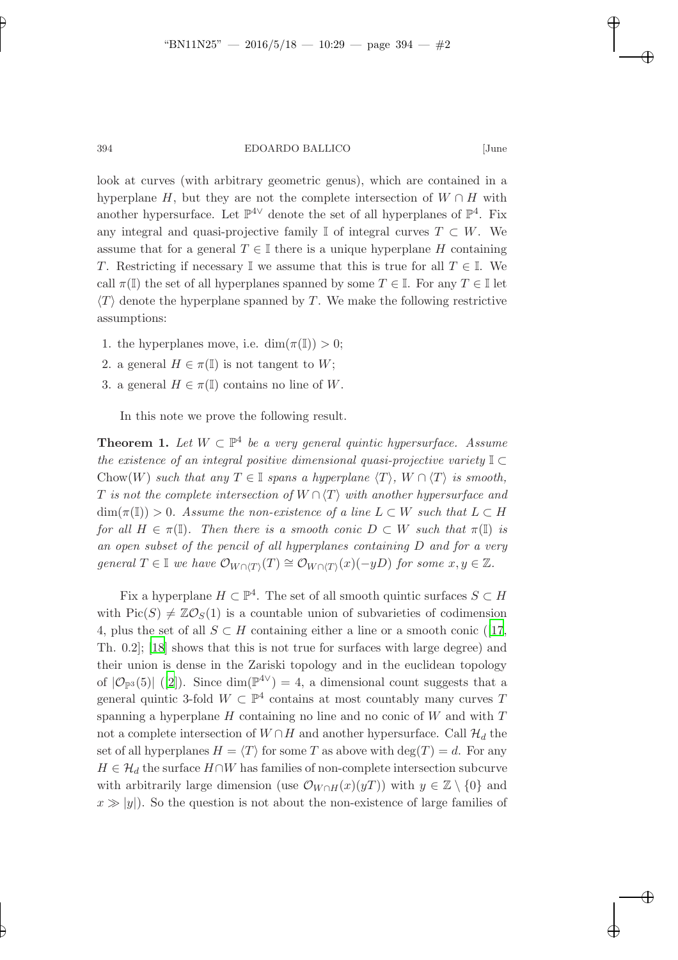394 EDOARDO BALLICO [June

look at curves (with arbitrary geometric genus), which are contained in a hyperplane H, but they are not the complete intersection of  $W \cap H$  with another hypersurface. Let  $\mathbb{P}^{4\vee}$  denote the set of all hyperplanes of  $\mathbb{P}^{4}$ . Fix any integral and quasi-projective family  $\mathbb{I}$  of integral curves  $T \subset W$ . We assume that for a general  $T \in \mathbb{I}$  there is a unique hyperplane H containing T. Restricting if necessary  $\mathbb{I}$  we assume that this is true for all  $T \in \mathbb{I}$ . We call  $\pi(\mathbb{I})$  the set of all hyperplanes spanned by some  $T \in \mathbb{I}$ . For any  $T \in \mathbb{I}$  let  $\langle T \rangle$  denote the hyperplane spanned by T. We make the following restrictive assumptions:

- 1. the hyperplanes move, i.e.  $\dim(\pi(\mathbb{I})) > 0$ ;
- 2. a general  $H \in \pi(\mathbb{I})$  is not tangent to W;
- 3. a general  $H \in \pi(\mathbb{I})$  contains no line of W.

<span id="page-1-0"></span>In this note we prove the following result.

**Theorem 1.** Let  $W \subset \mathbb{P}^4$  be a very general quintic hypersurface. Assume the existence of an integral positive dimensional quasi-projective variety  $\mathbb{I} \subset$ Chow(W) such that any  $T \in \mathbb{I}$  spans a hyperplane  $\langle T \rangle$ ,  $W \cap \langle T \rangle$  is smooth, T is not the complete intersection of  $W \cap \langle T \rangle$  with another hypersurface and  $\dim(\pi(I)) > 0$ . Assume the non-existence of a line  $L \subset W$  such that  $L \subset H$ for all  $H \in \pi(\mathbb{I})$ . Then there is a smooth conic  $D \subset W$  such that  $\pi(\mathbb{I})$  is an open subset of the pencil of all hyperplanes containing D and for a very general  $T \in \mathbb{I}$  we have  $\mathcal{O}_{W \cap \langle T \rangle}(T) \cong \mathcal{O}_{W \cap \langle T \rangle}(x)(-yD)$  for some  $x, y \in \mathbb{Z}$ .

Fix a hyperplane  $H \subset \mathbb{P}^4$ . The set of all smooth quintic surfaces  $S \subset H$ with  $Pic(S) \neq \mathbb{Z}\mathcal{O}_S(1)$  is a countable union of subvarieties of codimension 4,plus the set of all  $S \subset H$  containing either a line or a smooth conic ([\[17](#page-6-9), Th. 0.2]; [\[18\]](#page-6-10) shows that this is not true for surfaces with large degree) and their union is dense in the Zariski topology and in the euclidean topology of  $|\mathcal{O}_{\mathbb{P}^3}(5)|$  ([\[2](#page-5-0)]). Since  $\dim(\mathbb{P}^{4\vee})=4$ , a dimensional count suggests that a general quintic 3-fold  $W \subset \mathbb{P}^4$  contains at most countably many curves T spanning a hyperplane  $H$  containing no line and no conic of  $W$  and with  $T$ not a complete intersection of  $W \cap H$  and another hypersurface. Call  $\mathcal{H}_d$  the set of all hyperplanes  $H = \langle T \rangle$  for some T as above with  $\deg(T) = d$ . For any  $H \in \mathcal{H}_d$  the surface  $H \cap W$  has families of non-complete intersection subcurve with arbitrarily large dimension (use  $\mathcal{O}_{W\cap H}(x)(yT)$ ) with  $y \in \mathbb{Z} \setminus \{0\}$  and  $x \gg |y|$ . So the question is not about the non-existence of large families of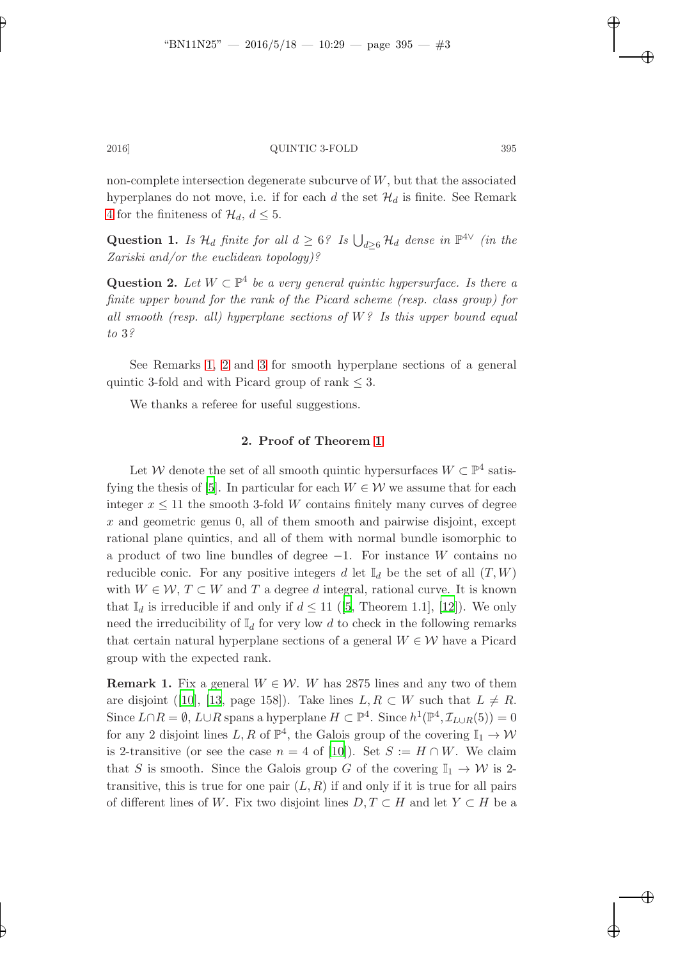non-complete intersection degenerate subcurve of  $W$ , but that the associated hyperplanes do not move, i.e. if for each d the set  $\mathcal{H}_d$  is finite. See Remark [4](#page-4-0) for the finiteness of  $\mathcal{H}_d$ ,  $d \leq 5$ .

Question 1. Is  $\mathcal{H}_d$  finite for all  $d \geq 6$ ? Is  $\bigcup_{d \geq 6} \mathcal{H}_d$  dense in  $\mathbb{P}^{4 \vee}$  (in the Zariski and/or the euclidean topology)?

Question 2. Let  $W \subset \mathbb{P}^4$  be a very general quintic hypersurface. Is there a finite upper bound for the rank of the Picard scheme (resp. class group) for all smooth (resp. all) hyperplane sections of  $W$ ? Is this upper bound equal to 3?

See Remarks [1,](#page-2-0) [2](#page-3-0) and [3](#page-3-1) for smooth hyperplane sections of a general quintic 3-fold and with Picard group of rank  $\leq$  3.

We thanks a referee for useful suggestions.

## 2. Proof of Theorem [1](#page-1-0)

Let W denote the set of all smooth quintic hypersurfaces  $W \subset \mathbb{P}^4$  satis-fying the thesis of [\[5\]](#page-6-2). In particular for each  $W \in \mathcal{W}$  we assume that for each integer  $x \leq 11$  the smooth 3-fold W contains finitely many curves of degree x and geometric genus 0, all of them smooth and pairwise disjoint, except rational plane quintics, and all of them with normal bundle isomorphic to a product of two line bundles of degree −1. For instance W contains no reducible conic. For any positive integers d let  $\mathbb{I}_d$  be the set of all  $(T, W)$ with  $W \in \mathcal{W}, T \subset W$  and T a degree d integral, rational curve. It is known that $\mathbb{I}_d$  is irreducible if and only if  $d \leq 11$  ([\[5,](#page-6-2) Theorem 1.1], [\[12](#page-6-5)]). We only need the irreducibility of  $\mathbb{I}_d$  for very low d to check in the following remarks that certain natural hyperplane sections of a general  $W \in \mathcal{W}$  have a Picard group with the expected rank.

<span id="page-2-0"></span>**Remark 1.** Fix a general  $W \in \mathcal{W}$ . W has 2875 lines and any two of them aredisjoint ([\[10](#page-6-11)], [\[13,](#page-6-6) page 158]). Take lines  $L, R \subset W$  such that  $L \neq R$ . Since  $L \cap R = \emptyset$ ,  $L \cup R$  spans a hyperplane  $H \subset \mathbb{P}^4$ . Since  $h^1(\mathbb{P}^4, \mathcal{I}_{L \cup R}(5)) = 0$ for any 2 disjoint lines  $L, R$  of  $\mathbb{P}^4$ , the Galois group of the covering  $\mathbb{I}_1 \to \mathcal{W}$ is 2-transitive (or see the case  $n = 4$  of [\[10](#page-6-11)]). Set  $S := H \cap W$ . We claim that S is smooth. Since the Galois group G of the covering  $\mathbb{I}_1 \to \mathcal{W}$  is 2transitive, this is true for one pair  $(L, R)$  if and only if it is true for all pairs of different lines of W. Fix two disjoint lines  $D, T \subset H$  and let  $Y \subset H$  be a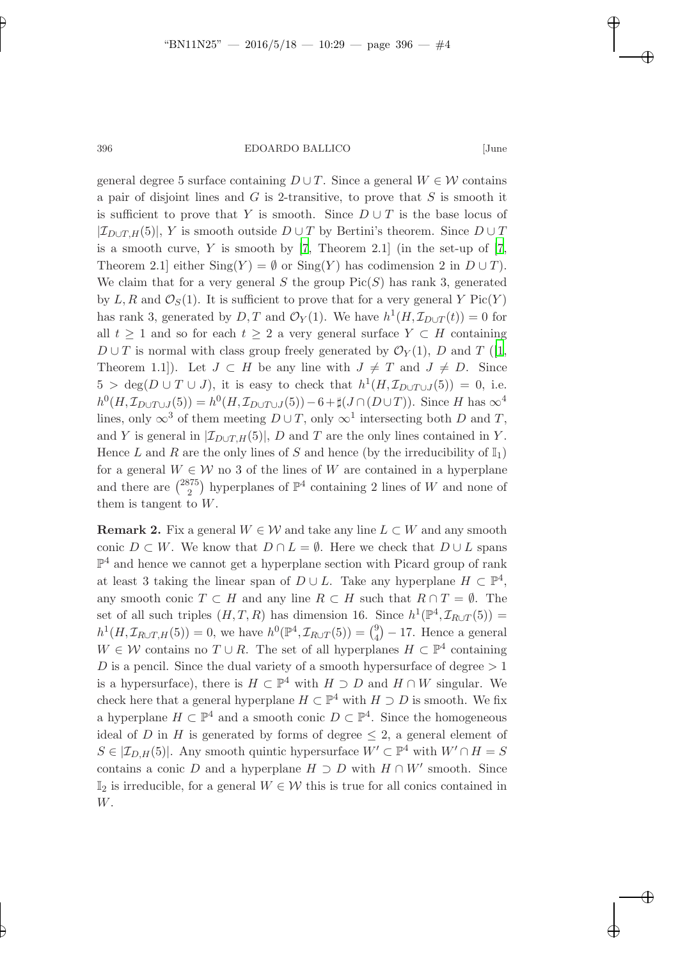396 EDOARDO BALLICO [June

general degree 5 surface containing  $D \cup T$ . Since a general  $W \in \mathcal{W}$  contains a pair of disjoint lines and  $G$  is 2-transitive, to prove that  $S$  is smooth it is sufficient to prove that Y is smooth. Since  $D \cup T$  is the base locus of  $|\mathcal{I}_{D\cup T,H}(5)|$ , Y is smooth outside  $D\cup T$  by Bertini's theorem. Since  $D\cup T$ is a smooth curve,  $Y$  is smooth by [\[7](#page-6-12), Theorem 2.1] (in the set-up of [7, Theorem 2.1] either  $\text{Sing}(Y) = \emptyset$  or  $\text{Sing}(Y)$  has codimension 2 in  $D \cup T$ ). We claim that for a very general S the group  $Pic(S)$  has rank 3, generated by L, R and  $\mathcal{O}_S(1)$ . It is sufficient to prove that for a very general Y Pic(Y) has rank 3, generated by  $D, T$  and  $\mathcal{O}_Y(1)$ . We have  $h^1(H, \mathcal{I}_{D\cup T}(t)) = 0$  for all  $t \geq 1$  and so for each  $t \geq 2$  a very general surface  $Y \subset H$  containing  $D \cup T$  is normal with class group freely generated by  $\mathcal{O}_Y(1)$ , D and T ([\[1](#page-5-1), Theorem 1.1]). Let  $J \subset H$  be any line with  $J \neq T$  and  $J \neq D$ . Since  $5 > \deg(D \cup T \cup J)$ , it is easy to check that  $h^1(H, \mathcal{I}_{D \cup T \cup J}(5)) = 0$ , i.e.  $h^0(H, \mathcal{I}_{D\cup T\cup J}(5)) = h^0(H, \mathcal{I}_{D\cup T\cup J}(5)) - 6 + \sharp(J \cap (D \cup T)).$  Since H has  $\infty^4$ lines, only  $\infty^3$  of them meeting  $D \cup T$ , only  $\infty^1$  intersecting both D and T, and Y is general in  $[\mathcal{I}_{D\cup T,H}(5)], D$  and T are the only lines contained in Y. Hence L and R are the only lines of S and hence (by the irreducibility of  $\mathbb{I}_1$ ) for a general  $W \in \mathcal{W}$  no 3 of the lines of W are contained in a hyperplane and there are  $\binom{2875}{2}$  $2^{75}$ ) hyperplanes of  $\mathbb{P}^4$  containing 2 lines of W and none of them is tangent to  $W$ .

<span id="page-3-1"></span><span id="page-3-0"></span>**Remark 2.** Fix a general  $W \in \mathcal{W}$  and take any line  $L \subset W$  and any smooth conic  $D \subset W$ . We know that  $D \cap L = \emptyset$ . Here we check that  $D \cup L$  spans  $\mathbb{P}^4$  and hence we cannot get a hyperplane section with Picard group of rank at least 3 taking the linear span of  $D \cup L$ . Take any hyperplane  $H \subset \mathbb{P}^4$ , any smooth conic  $T \subset H$  and any line  $R \subset H$  such that  $R \cap T = \emptyset$ . The set of all such triples  $(H, T, R)$  has dimension 16. Since  $h^1(\mathbb{P}^4, \mathcal{I}_{R\cup T}(5)) =$  $h^1(H, \mathcal{I}_{R\cup T, H}(5)) = 0$ , we have  $h^0(\mathbb{P}^4, \mathcal{I}_{R\cup T}(5)) = {9 \choose 4}$  $_{4}^{9}$ ) – 17. Hence a general  $W \in \mathcal{W}$  contains no  $T \cup R$ . The set of all hyperplanes  $H \subset \mathbb{P}^4$  containing D is a pencil. Since the dual variety of a smooth hypersurface of degree  $> 1$ is a hypersurface), there is  $H \subset \mathbb{P}^4$  with  $H \supset D$  and  $H \cap W$  singular. We check here that a general hyperplane  $H \subset \mathbb{P}^4$  with  $H \supset D$  is smooth. We fix a hyperplane  $H \subset \mathbb{P}^4$  and a smooth conic  $D \subset \mathbb{P}^4$ . Since the homogeneous ideal of D in H is generated by forms of degree  $\leq 2$ , a general element of  $S \in |\mathcal{I}_{D,H}(5)|$ . Any smooth quintic hypersurface  $W' \subset \mathbb{P}^4$  with  $W' \cap H = S$ contains a conic D and a hyperplane  $H \supset D$  with  $H \cap W'$  smooth. Since  $\mathbb{I}_2$  is irreducible, for a general  $W \in \mathcal{W}$  this is true for all conics contained in W.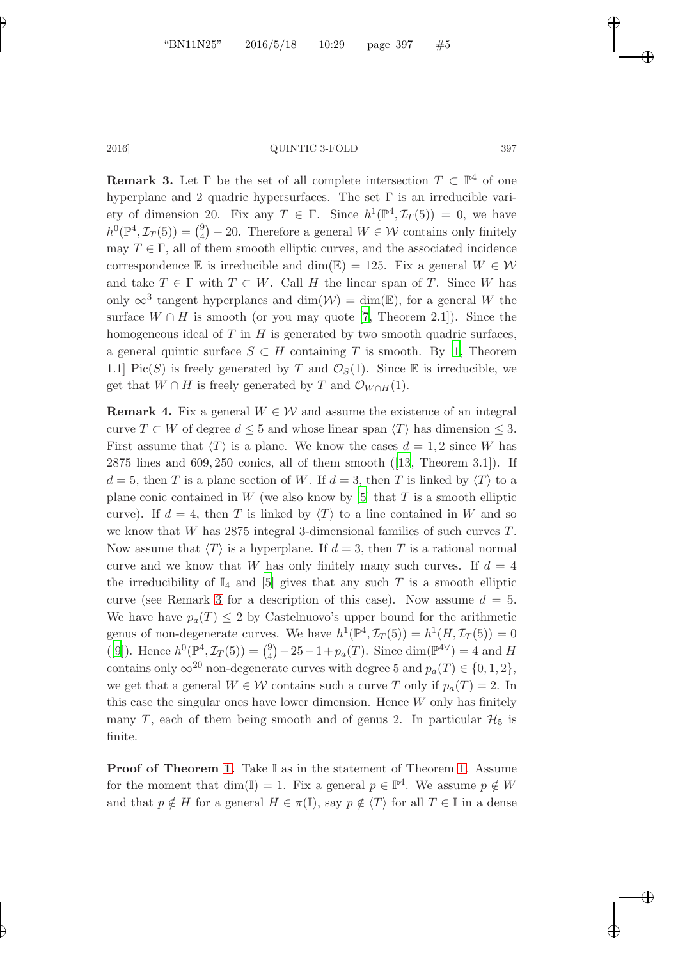**Remark 3.** Let  $\Gamma$  be the set of all complete intersection  $T \subset \mathbb{P}^4$  of one hyperplane and 2 quadric hypersurfaces. The set  $\Gamma$  is an irreducible variety of dimension 20. Fix any  $T \in \Gamma$ . Since  $h^1(\mathbb{P}^4, \mathcal{I}_T(5)) = 0$ , we have  $h^0(\mathbb{P}^4, \mathcal{I}_T(5)) = \binom{9}{4}$  $_{4}^{9}$  – 20. Therefore a general  $W \in \mathcal{W}$  contains only finitely may  $T\in \Gamma,$  all of them smooth elliptic curves, and the associated incidence correspondence E is irreducible and dim(E) = 125. Fix a general  $W \in \mathcal{W}$ and take  $T \in \Gamma$  with  $T \subset W$ . Call H the linear span of T. Since W has only  $\infty^3$  tangent hyperplanes and  $\dim(\mathcal{W}) = \dim(\mathbb{E})$ , for a general W the surface  $W \cap H$  is smooth (or you may quote [\[7](#page-6-12), Theorem 2.1]). Since the homogeneous ideal of  $T$  in  $H$  is generated by two smooth quadric surfaces, a general quintic surface  $S \subset H$  containing T is smooth. By [\[1,](#page-5-1) Theorem 1.1] Pic(S) is freely generated by T and  $\mathcal{O}_S(1)$ . Since E is irreducible, we get that  $W \cap H$  is freely generated by T and  $\mathcal{O}_{W \cap H}(1)$ .

<span id="page-4-0"></span>**Remark 4.** Fix a general  $W \in \mathcal{W}$  and assume the existence of an integral curve  $T \subset W$  of degree  $d \leq 5$  and whose linear span  $\langle T \rangle$  has dimension  $\leq 3$ . First assume that  $\langle T \rangle$  is a plane. We know the cases  $d = 1, 2$  since W has 2875 lines and 609, 250 conics, all of them smooth([\[13,](#page-6-6) Theorem 3.1]). If  $d = 5$ , then T is a plane section of W. If  $d = 3$ , then T is linked by  $\langle T \rangle$  to a plane conic contained in W (we also know by  $[5]$  that T is a smooth elliptic curve). If  $d = 4$ , then T is linked by  $\langle T \rangle$  to a line contained in W and so we know that W has 2875 integral 3-dimensional families of such curves T. Now assume that  $\langle T \rangle$  is a hyperplane. If  $d = 3$ , then T is a rational normal curve and we know that W has only finitely many such curves. If  $d = 4$ the irreducibility of  $\mathbb{I}_4$  and [\[5](#page-6-2)] gives that any such T is a smooth elliptic curve (see Remark [3](#page-3-1) for a description of this case). Now assume  $d = 5$ . We have have  $p_a(T) \leq 2$  by Castelnuovo's upper bound for the arithmetic genus of non-degenerate curves. We have  $h^1(\mathbb{P}^4, \mathcal{I}_T(5)) = h^1(H, \mathcal{I}_T(5)) = 0$ ([\[9\]](#page-6-13)). Hence  $h^0(\mathbb{P}^4, \mathcal{I}_T(5)) = \binom{9}{4}$  $_{4}^{9}$  $-25-1+p_{a}(T)$ . Since dim( $\mathbb{P}^{4\vee}$ ) = 4 and H contains only  $\infty^{20}$  non-degenerate curves with degree 5 and  $p_a(T) \in \{0, 1, 2\},\$ we get that a general  $W \in \mathcal{W}$  contains such a curve T only if  $p_a(T) = 2$ . In this case the singular ones have lower dimension. Hence  $W$  only has finitely many T, each of them being smooth and of genus 2. In particular  $\mathcal{H}_5$  is finite.

**Proof of Theorem [1.](#page-1-0)** Take  $\mathbb{I}$  as in the statement of Theorem 1. Assume for the moment that  $\dim(\mathbb{I}) = 1$ . Fix a general  $p \in \mathbb{P}^4$ . We assume  $p \notin W$ and that  $p \notin H$  for a general  $H \in \pi(\mathbb{I})$ , say  $p \notin \langle T \rangle$  for all  $T \in \mathbb{I}$  in a dense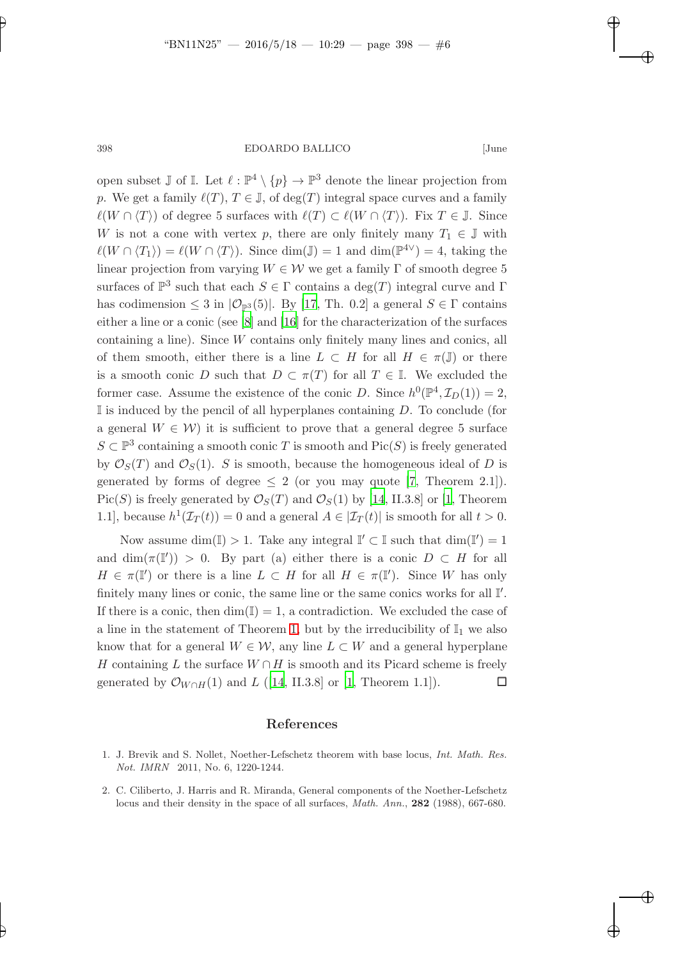398 EDOARDO BALLICO [June

open subset  $\mathbb J$  of  $\mathbb I$ . Let  $\ell : \mathbb P^4 \setminus \{p\} \to \mathbb P^3$  denote the linear projection from p. We get a family  $\ell(T)$ ,  $T \in \mathbb{J}$ , of  $\deg(T)$  integral space curves and a family  $\ell(W \cap \langle T \rangle)$  of degree 5 surfaces with  $\ell(T) \subset \ell(W \cap \langle T \rangle)$ . Fix  $T \in \mathbb{J}$ . Since W is not a cone with vertex p, there are only finitely many  $T_1 \in \mathbb{J}$  with  $\ell(W \cap \langle T_1 \rangle) = \ell(W \cap \langle T \rangle)$ . Since  $\dim(\mathbb{J}) = 1$  and  $\dim(\mathbb{P}^{4\vee}) = 4$ , taking the linear projection from varying  $W \in \mathcal{W}$  we get a family  $\Gamma$  of smooth degree 5 surfaces of  $\mathbb{P}^3$  such that each  $S \in \Gamma$  contains a  $\deg(T)$  integral curve and  $\Gamma$ has codimension  $\leq 3$  in  $|\mathcal{O}_{\mathbb{P}^3}(5)|$ . By [\[17](#page-6-9), Th. 0.2] a general  $S \in \Gamma$  contains either a line or a conic (see [\[8](#page-6-14)] and [\[16](#page-6-8)] for the characterization of the surfaces containing a line). Since W contains only finitely many lines and conics, all of them smooth, either there is a line  $L \subset H$  for all  $H \in \pi(\mathbb{J})$  or there is a smooth conic D such that  $D \subset \pi(T)$  for all  $T \in \mathbb{I}$ . We excluded the former case. Assume the existence of the conic D. Since  $h^0(\mathbb{P}^4, \mathcal{I}_D(1)) = 2$ ,  $\mathbb I$  is induced by the pencil of all hyperplanes containing D. To conclude (for a general  $W \in \mathcal{W}$ ) it is sufficient to prove that a general degree 5 surface  $S \subset \mathbb{P}^3$  containing a smooth conic T is smooth and  $Pic(S)$  is freely generated by  $\mathcal{O}_S(T)$  and  $\mathcal{O}_S(1)$ . S is smooth, because the homogeneous ideal of D is generated by forms of degree  $\leq 2$  (or you may quote [\[7](#page-6-12), Theorem 2.1]). Pic(S) is freely generated by  $\mathcal{O}_S(T)$  and  $\mathcal{O}_S(1)$  by [\[14](#page-6-15), II.3.8] or [\[1,](#page-5-1) Theorem 1.1], because  $h^1(\mathcal{I}_T(t)) = 0$  and a general  $A \in |\mathcal{I}_T(t)|$  is smooth for all  $t > 0$ .

Now assume  $\dim(I) > 1$ . Take any integral  $I' \subset I$  such that  $\dim(I') = 1$ and  $\dim(\pi(\mathbb{I}')) > 0$ . By part (a) either there is a conic  $D \subset H$  for all  $H \in \pi(\mathbb{I}')$  or there is a line  $L \subset H$  for all  $H \in \pi(\mathbb{I}')$ . Since W has only finitely many lines or conic, the same line or the same conics works for all  $\mathbb{I}'$ . If there is a conic, then  $\dim(I) = 1$ , a contradiction. We excluded the case of a line in the statement of Theorem [1,](#page-1-0) but by the irreducibility of  $\mathbb{I}_1$  we also know that for a general  $W \in \mathcal{W}$ , any line  $L \subset W$  and a general hyperplane H containing L the surface  $W \cap H$  is smooth and its Picard scheme is freely generated by  $\mathcal{O}_{W\cap H}(1)$  and L ([\[14,](#page-6-15) II.3.8] or [\[1](#page-5-1), Theorem 1.1]).  $\Box$ 

#### References

- <span id="page-5-1"></span>1. J. Brevik and S. Nollet, Noether-Lefschetz theorem with base locus, Int. Math. Res. Not. IMRN 2011, No. 6, 1220-1244.
- <span id="page-5-0"></span>2. C. Ciliberto, J. Harris and R. Miranda, General components of the Noether-Lefschetz locus and their density in the space of all surfaces, *Math. Ann.*, **282** (1988), 667-680.